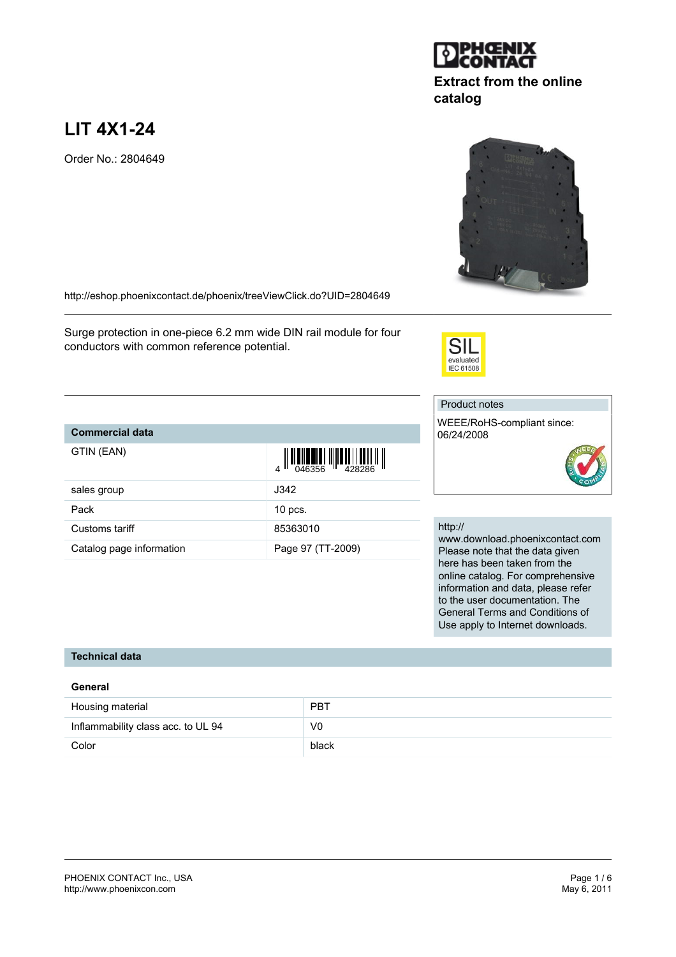# **LIT 4X1-24**

Order No.: 2804649

<http://eshop.phoenixcontact.de/phoenix/treeViewClick.do?UID=2804649>

Surge protection in one-piece 6.2 mm wide DIN rail module for four conductors with common reference potential.

# **Commercial data**

| GTIN (EAN) |  |
|------------|--|
|            |  |

|                          | $\begin{array}{c} 4 \overline{11} \overline{11} \overline{11} \overline{11} \overline{11} \overline{11} \overline{11} \overline{11} \overline{11} \overline{11} \overline{11} \overline{11} \overline{11} \overline{11} \overline{11} \overline{11} \overline{11} \end{array}$ |
|--------------------------|--------------------------------------------------------------------------------------------------------------------------------------------------------------------------------------------------------------------------------------------------------------------------------|
| sales group              | J342                                                                                                                                                                                                                                                                           |
| Pack                     | $10$ pcs.                                                                                                                                                                                                                                                                      |
| Customs tariff           | 85363010                                                                                                                                                                                                                                                                       |
| Catalog page information | Page 97 (TT-2009)                                                                                                                                                                                                                                                              |

## http://

www.download.phoenixcontact.com Please note that the data given here has been taken from the online catalog. For comprehensive information and data, please refer to the user documentation. The General Terms and Conditions of Use apply to Internet downloads.

### **Technical data**

#### **General**

| Housing material                   | <b>PBT</b> |
|------------------------------------|------------|
| Inflammability class acc. to UL 94 | V0         |
| Color                              | black      |





**catalog**

**TERMINIAN DESCRIPTION IN** 



SII evaluated<br>IEC 61508

WEEE/RoHS-compliant since: 06/24/2008

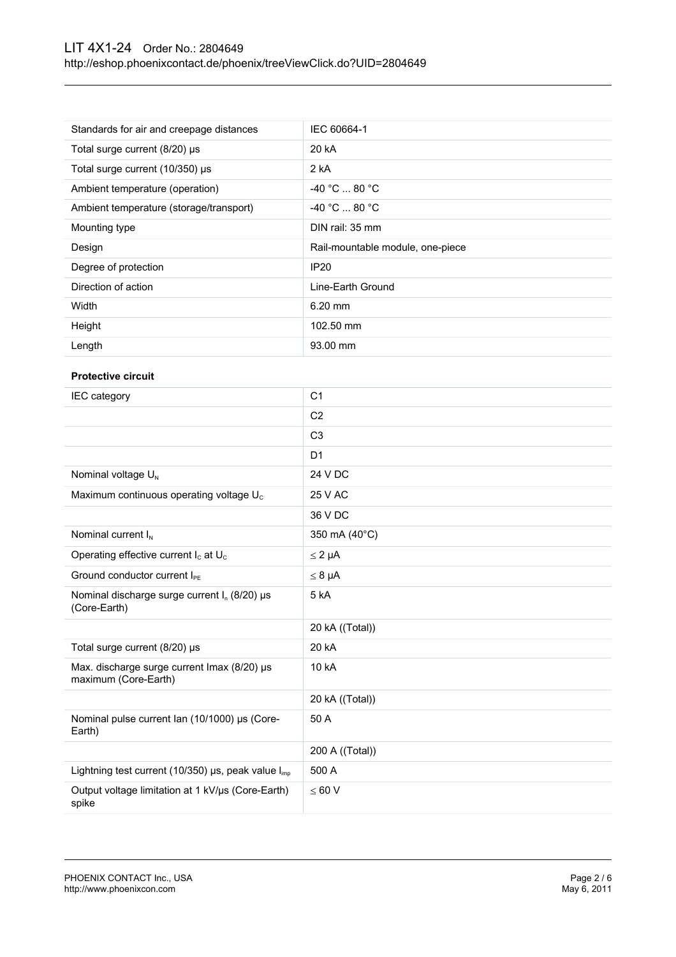# LIT 4X1-24 Order No.: 2804649 <http://eshop.phoenixcontact.de/phoenix/treeViewClick.do?UID=2804649>

| Standards for air and creepage distances | IEC 60664-1                      |
|------------------------------------------|----------------------------------|
| Total surge current $(8/20)$ µs          | 20 kA                            |
| Total surge current (10/350) µs          | 2 kA                             |
| Ambient temperature (operation)          | $-40 °C$ 80 °C                   |
| Ambient temperature (storage/transport)  | $-40 °C  80 °C$                  |
| Mounting type                            | DIN rail: 35 mm                  |
|                                          |                                  |
| Design                                   | Rail-mountable module, one-piece |
| Degree of protection                     | <b>IP20</b>                      |
| Direction of action                      | Line-Earth Ground                |
| Width                                    | $6.20$ mm                        |
| Height                                   | 102.50 mm                        |

#### **Protective circuit**

| IEC category                                                         | C <sub>1</sub>  |
|----------------------------------------------------------------------|-----------------|
|                                                                      | C <sub>2</sub>  |
|                                                                      | C <sub>3</sub>  |
|                                                                      | D <sub>1</sub>  |
| Nominal voltage U <sub>N</sub>                                       | 24 V DC         |
| Maximum continuous operating voltage U <sub>c</sub>                  | 25 V AC         |
|                                                                      | 36 V DC         |
| Nominal current $I_N$                                                | 350 mA (40°C)   |
| Operating effective current I <sub>c</sub> at U <sub>c</sub>         | $\leq 2 \mu A$  |
| Ground conductor current I <sub>PE</sub>                             | $\leq 8 \mu A$  |
| Nominal discharge surge current $I_n$ (8/20) $\mu$ s<br>(Core-Earth) | 5 kA            |
|                                                                      | 20 kA ((Total)) |
| Total surge current (8/20) µs                                        | 20 kA           |
| Max. discharge surge current Imax (8/20) µs<br>maximum (Core-Earth)  | 10 kA           |
|                                                                      | 20 kA ((Total)) |
| Nominal pulse current Ian (10/1000) µs (Core-<br>Earth)              | 50 A            |
|                                                                      | 200 A ((Total)) |
| Lightning test current (10/350) $\mu$ s, peak value $I_{imp}$        | 500 A           |
| Output voltage limitation at 1 kV/us (Core-Earth)<br>spike           | < 60 V          |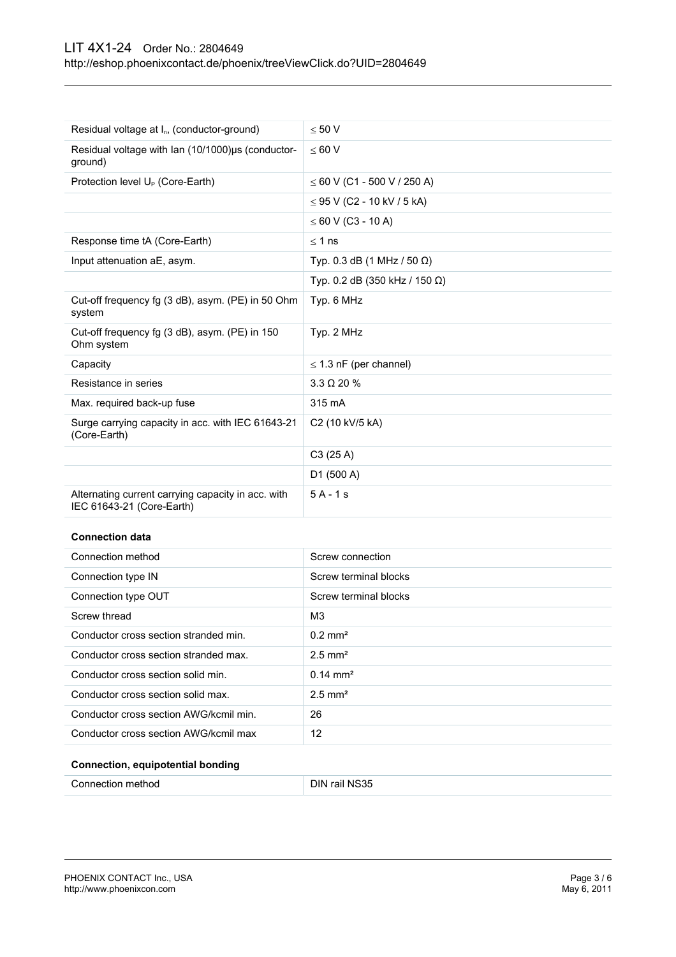# LIT 4X1-24 Order No.: 2804649 <http://eshop.phoenixcontact.de/phoenix/treeViewClick.do?UID=2804649>

| Residual voltage at I <sub>n</sub> , (conductor-ground)                         | < 50 V                           |
|---------------------------------------------------------------------------------|----------------------------------|
| Residual voltage with Ian (10/1000)µs (conductor-<br>ground)                    | $\leq 60$ V                      |
| Protection level U <sub>P</sub> (Core-Earth)                                    | $\leq 60$ V (C1 - 500 V / 250 A) |
|                                                                                 | $\leq$ 95 V (C2 - 10 kV / 5 kA)  |
|                                                                                 | $\leq 60$ V (C3 - 10 A)          |
| Response time tA (Core-Earth)                                                   | $< 1$ ns                         |
| Input attenuation aE, asym.                                                     | Typ. 0.3 dB (1 MHz / 50 Ω)       |
|                                                                                 | Typ. 0.2 dB (350 kHz / 150 Ω)    |
| Cut-off frequency fg (3 dB), asym. (PE) in 50 Ohm<br>system                     | Typ. 6 MHz                       |
| Cut-off frequency fg (3 dB), asym. (PE) in 150<br>Ohm system                    | Typ. 2 MHz                       |
| Capacity                                                                        | $\leq$ 1.3 nF (per channel)      |
| Resistance in series                                                            | $3.3 \Omega$ 20 %                |
| Max. required back-up fuse                                                      | 315 mA                           |
| Surge carrying capacity in acc. with IEC 61643-21<br>(Core-Earth)               | C2 (10 kV/5 kA)                  |
|                                                                                 | C3(25 A)                         |
|                                                                                 | D1 (500 A)                       |
| Alternating current carrying capacity in acc. with<br>IEC 61643-21 (Core-Earth) | $5A-1s$                          |
| <b>Connection data</b>                                                          |                                  |

| Connection method                      | Screw connection      |
|----------------------------------------|-----------------------|
| Connection type IN                     | Screw terminal blocks |
| Connection type OUT                    | Screw terminal blocks |
| Screw thread                           | MЗ                    |
| Conductor cross section stranded min.  | $0.2 \text{ mm}^2$    |
| Conductor cross section stranded max.  | $2.5$ mm <sup>2</sup> |
| Conductor cross section solid min.     | $0.14 \text{ mm}^2$   |
| Conductor cross section solid max.     | $2.5$ mm <sup>2</sup> |
| Conductor cross section AWG/kcmil min. | 26                    |
| Conductor cross section AWG/kcmil max  | 12                    |
|                                        |                       |

# **Connection, equipotential bonding**

| Connection method | DIN rail NS35 |
|-------------------|---------------|
|                   |               |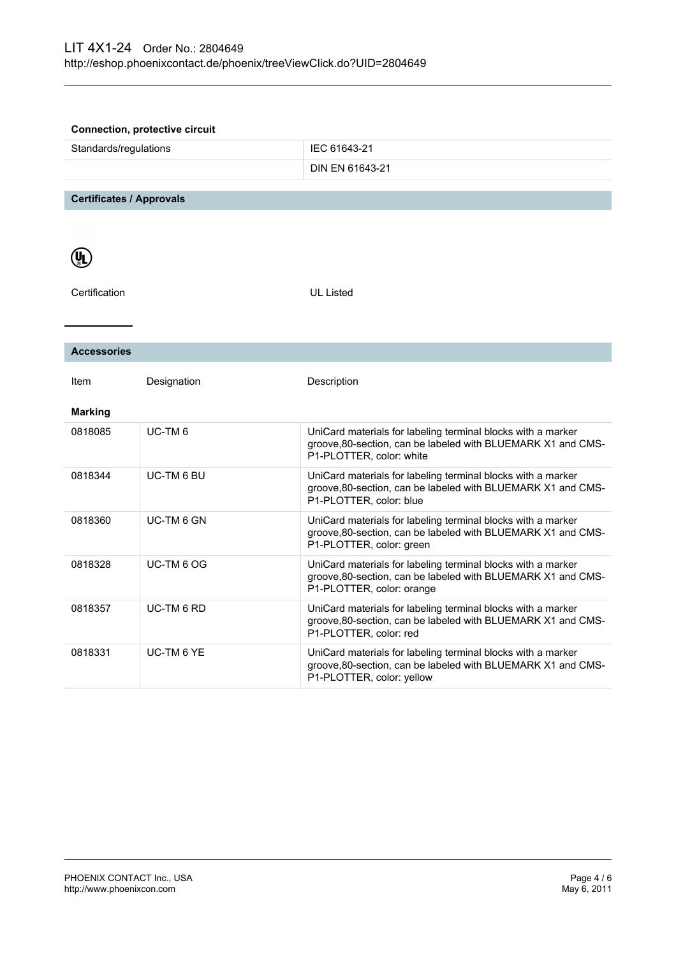| <b>Connection, protective circuit</b> |                    |                                                                                                                                                          |
|---------------------------------------|--------------------|----------------------------------------------------------------------------------------------------------------------------------------------------------|
| Standards/regulations                 |                    | IEC 61643-21                                                                                                                                             |
|                                       |                    | DIN EN 61643-21                                                                                                                                          |
|                                       |                    |                                                                                                                                                          |
| <b>Certificates / Approvals</b>       |                    |                                                                                                                                                          |
|                                       |                    |                                                                                                                                                          |
|                                       |                    |                                                                                                                                                          |
| <b>UL</b>                             |                    |                                                                                                                                                          |
| Certification                         |                    | <b>UL Listed</b>                                                                                                                                         |
|                                       |                    |                                                                                                                                                          |
|                                       |                    |                                                                                                                                                          |
| <b>Accessories</b>                    |                    |                                                                                                                                                          |
|                                       |                    |                                                                                                                                                          |
| Item                                  | Designation        | Description                                                                                                                                              |
|                                       |                    |                                                                                                                                                          |
| <b>Marking</b>                        |                    |                                                                                                                                                          |
| 0818085                               | UC-TM <sub>6</sub> | UniCard materials for labeling terminal blocks with a marker<br>groove, 80-section, can be labeled with BLUEMARK X1 and CMS-<br>P1-PLOTTER, color: white |
| 0818344                               | <b>UC-TM 6 BU</b>  | UniCard materials for labeling terminal blocks with a marker                                                                                             |
|                                       |                    | groove, 80-section, can be labeled with BLUEMARK X1 and CMS-<br>P1-PLOTTER, color: blue                                                                  |
| 0818360                               | UC-TM 6 GN         | UniCard materials for labeling terminal blocks with a marker                                                                                             |
|                                       |                    | groove, 80-section, can be labeled with BLUEMARK X1 and CMS-<br>P1-PLOTTER, color: green                                                                 |
| 0818328                               | UC-TM 6 OG         | UniCard materials for labeling terminal blocks with a marker                                                                                             |
|                                       |                    | groove, 80-section, can be labeled with BLUEMARK X1 and CMS-<br>P1-PLOTTER, color: orange                                                                |
| 0818357                               | UC-TM 6 RD         | UniCard materials for labeling terminal blocks with a marker<br>groove, 80-section, can be labeled with BLUEMARK X1 and CMS-                             |
|                                       |                    | P1-PLOTTER, color: red                                                                                                                                   |
| 0818331                               | <b>UC-TM 6 YE</b>  | UniCard materials for labeling terminal blocks with a marker                                                                                             |
|                                       |                    | groove, 80-section, can be labeled with BLUEMARK X1 and CMS-<br>P1-PLOTTER, color: yellow                                                                |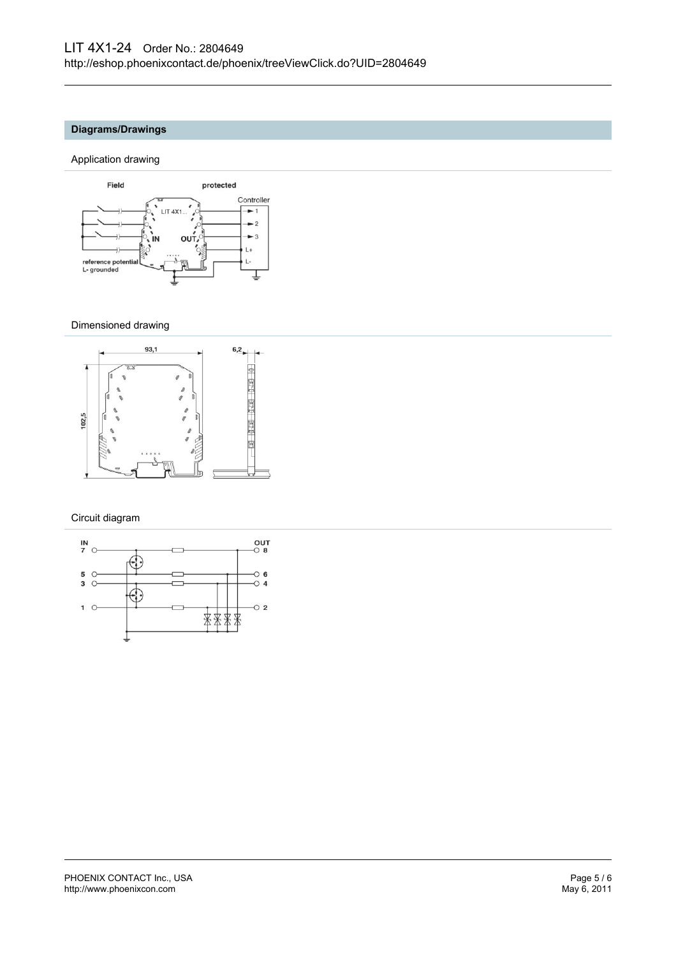# **Diagrams/Drawings**

### Application drawing



#### Dimensioned drawing



Circuit diagram